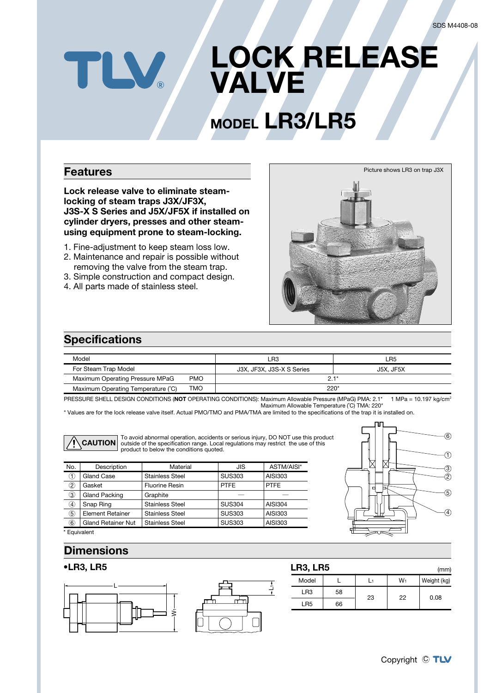## **LOCK RELEASE N VALVE**

# **MODEL** LR3/LR5

#### **Features**

Lock release valve to eliminate steam-<br>locking of steam traps J3X/JF3X, **J3S-X S Series and J5X/JF5X if installed on** using equipment prone to steam-locking. cylinder dryers, presses and other steam-

- 1. Fine-adjustment to keep steam loss low.
- 2. Maintenance and repair is possible without removing the valve from the steam trap.
- 3. Simple construction and compact design.
- 4. All parts made of stainless steel.



#### **Specifications**

| Model                              |            | ∟R3                       | ∟R5       |  |
|------------------------------------|------------|---------------------------|-----------|--|
| For Steam Trap Model               |            | J3X, JF3X, J3S-X S Series | J5X. JF5X |  |
| Maximum Operating Pressure MPaG    | <b>PMO</b> | $21*$                     |           |  |
| Maximum Operating Temperature (°C) | TMO        | $220*$                    |           |  |

PRESSURE SHELL DESIGN CONDITIONS (NOT OPERATING CONDITIONS): Maximum Allowable Pressure (MPaG) PMA: 2.1<sup>\*</sup> Maximum Allowable Temperature (°C) TMA: 220\* 1 MPa =  $10.197$  kg/cm<sup>2</sup>

1L

\* Values are for the lock release valve itself. Actual PMO/TMO and PMA/TMA are limited to the specifications of the trap it is installed on.



To avoid abnormal operation, accidents or serious injury, DO NOT use this product the restrict materials of the specification range. Local regulations may restrict the use of this product to below the conditions quoted.

| No.                     | Description               | Material               | JIS           | ASTM/AISI*     |
|-------------------------|---------------------------|------------------------|---------------|----------------|
| $\overline{\mathbb{O}}$ | Gland Case                | <b>Stainless Steel</b> | <b>SUS303</b> | AISI303        |
| $\circled{2}$           | Gasket                    | Fluorine Resin         | <b>PTFE</b>   | <b>PTFE</b>    |
| $\circled{3}$           | Gland Packing             | Graphite               |               |                |
| $\circled{4}$           | Snap Ring                 | <b>Stainless Steel</b> | <b>SUS304</b> | <b>AISI304</b> |
| $\circledS$             | <b>Element Retainer</b>   | <b>Stainless Steel</b> | <b>SUS303</b> | AISI303        |
| $\widehat{\mathbf{6}}$  | <b>Gland Retainer Nut</b> | <b>Stainless Steel</b> | <b>SUS303</b> | AISI303        |
|                         |                           |                        |               |                |



\* Equivalent

#### **Dimensions**

#### **5LR 3,LR•**



| LR3, LR5<br>(mm) |    |    |    |             |  |  |  |
|------------------|----|----|----|-------------|--|--|--|
| Model            |    |    | W1 | Weight (kg) |  |  |  |
| LR <sub>3</sub>  | 58 | 23 | 22 | 0.08        |  |  |  |
| LR5              | 66 |    |    |             |  |  |  |